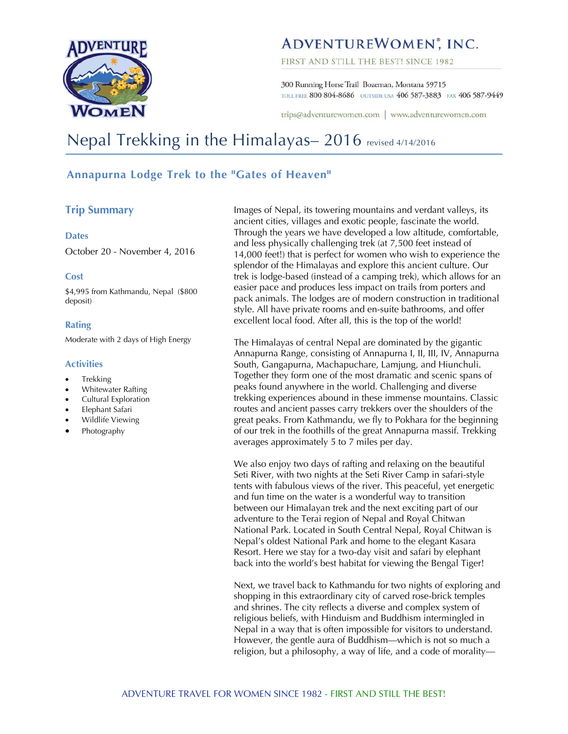

# ADVENTUREWOMEN<sup>®</sup>, INC.

FIRST AND STILL THE BEST! SINCE 1982

300 Running Horse Trail Bozeman, Montana 59715 TOLL FREE 800 804-8686 OUTSIDE USA 406 587-3883 FAX 406 587-9449

trips@adventurewomen.com | www.adventurewomen.com

# Nepal Trekking in the Himalayas– 2016 revised 4/14/2016

# **Annapurna Lodge Trek to the "Gates of Heaven"**

# **Trip Summary**

#### **Dates**

October 20 - November 4, 2016

#### **Cost**

\$4,995 from Kathmandu, Nepal (\$800 deposit)

#### **Rating**

Moderate with 2 days of High Energy

### **Activities**

- Trekking
- Whitewater Rafting
- Cultural Exploration
- Elephant Safari
- Wildlife Viewing
- Photography

Images of Nepal, its towering mountains and verdant valleys, its ancient cities, villages and exotic people, fascinate the world. Through the years we have developed a low altitude, comfortable, and less physically challenging trek (at 7,500 feet instead of 14,000 feet!) that is perfect for women who wish to experience the splendor of the Himalayas and explore this ancient culture. Our trek is lodge-based (instead of a camping trek), which allows for an easier pace and produces less impact on trails from porters and pack animals. The lodges are of modern construction in traditional style. All have private rooms and en-suite bathrooms, and offer excellent local food. After all, this is the top of the world!

The Himalayas of central Nepal are dominated by the gigantic Annapurna Range, consisting of Annapurna I, II, III, IV, Annapurna South, Gangapurna, Machapuchare, Lamjung, and Hiunchuli. Together they form one of the most dramatic and scenic spans of peaks found anywhere in the world. Challenging and diverse trekking experiences abound in these immense mountains. Classic routes and ancient passes carry trekkers over the shoulders of the great peaks. From Kathmandu, we fly to Pokhara for the beginning of our trek in the foothills of the great Annapurna massif. Trekking averages approximately 5 to 7 miles per day.

We also enjoy two days of rafting and relaxing on the beautiful Seti River, with two nights at the Seti River Camp in safari-style tents with fabulous views of the river. This peaceful, yet energetic and fun time on the water is a wonderful way to transition between our Himalayan trek and the next exciting part of our adventure to the Terai region of Nepal and Royal Chitwan National Park. Located in South Central Nepal, Royal Chitwan is Nepal's oldest National Park and home to the elegant Kasara Resort. Here we stay for a two-day visit and safari by elephant back into the world's best habitat for viewing the Bengal Tiger!

Next, we travel back to Kathmandu for two nights of exploring and shopping in this extraordinary city of carved rose-brick temples and shrines. The city reflects a diverse and complex system of religious beliefs, with Hinduism and Buddhism intermingled in Nepal in a way that is often impossible for visitors to understand. However, the gentle aura of Buddhism—which is not so much a religion, but a philosophy, a way of life, and a code of morality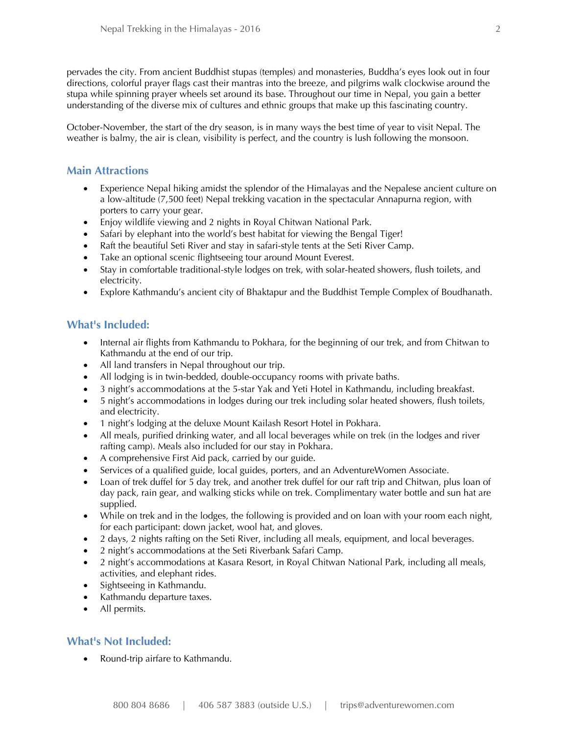pervades the city. From ancient Buddhist stupas (temples) and monasteries, Buddha's eyes look out in four directions, colorful prayer flags cast their mantras into the breeze, and pilgrims walk clockwise around the stupa while spinning prayer wheels set around its base. Throughout our time in Nepal, you gain a better understanding of the diverse mix of cultures and ethnic groups that make up this fascinating country.

October-November, the start of the dry season, is in many ways the best time of year to visit Nepal. The weather is balmy, the air is clean, visibility is perfect, and the country is lush following the monsoon.

# **Main Attractions**

- Experience Nepal hiking amidst the splendor of the Himalayas and the Nepalese ancient culture on a low-altitude (7,500 feet) Nepal trekking vacation in the spectacular Annapurna region, with porters to carry your gear.
- Enjoy wildlife viewing and 2 nights in Royal Chitwan National Park.
- Safari by elephant into the world's best habitat for viewing the Bengal Tiger!
- Raft the beautiful Seti River and stay in safari-style tents at the Seti River Camp.
- Take an optional scenic flightseeing tour around Mount Everest.
- Stay in comfortable traditional-style lodges on trek, with solar-heated showers, flush toilets, and electricity.
- Explore Kathmandu's ancient city of Bhaktapur and the Buddhist Temple Complex of Boudhanath.

# **What's Included:**

- Internal air flights from Kathmandu to Pokhara, for the beginning of our trek, and from Chitwan to Kathmandu at the end of our trip.
- All land transfers in Nepal throughout our trip.
- All lodging is in twin-bedded, double-occupancy rooms with private baths.
- 3 night's accommodations at the 5-star Yak and Yeti Hotel in Kathmandu, including breakfast.
- 5 night's accommodations in lodges during our trek including solar heated showers, flush toilets, and electricity.
- 1 night's lodging at the deluxe Mount Kailash Resort Hotel in Pokhara.
- All meals, purified drinking water, and all local beverages while on trek (in the lodges and river rafting camp). Meals also included for our stay in Pokhara.
- A comprehensive First Aid pack, carried by our guide.
- Services of a qualified guide, local guides, porters, and an AdventureWomen Associate.
- Loan of trek duffel for 5 day trek, and another trek duffel for our raft trip and Chitwan, plus loan of day pack, rain gear, and walking sticks while on trek. Complimentary water bottle and sun hat are supplied.
- While on trek and in the lodges, the following is provided and on loan with your room each night, for each participant: down jacket, wool hat, and gloves.
- 2 days, 2 nights rafting on the Seti River, including all meals, equipment, and local beverages.
- 2 night's accommodations at the Seti Riverbank Safari Camp.
- 2 night's accommodations at Kasara Resort, in Royal Chitwan National Park, including all meals, activities, and elephant rides.
- Sightseeing in Kathmandu.
- Kathmandu departure taxes.
- All permits.

# **What's Not Included:**

Round-trip airfare to Kathmandu.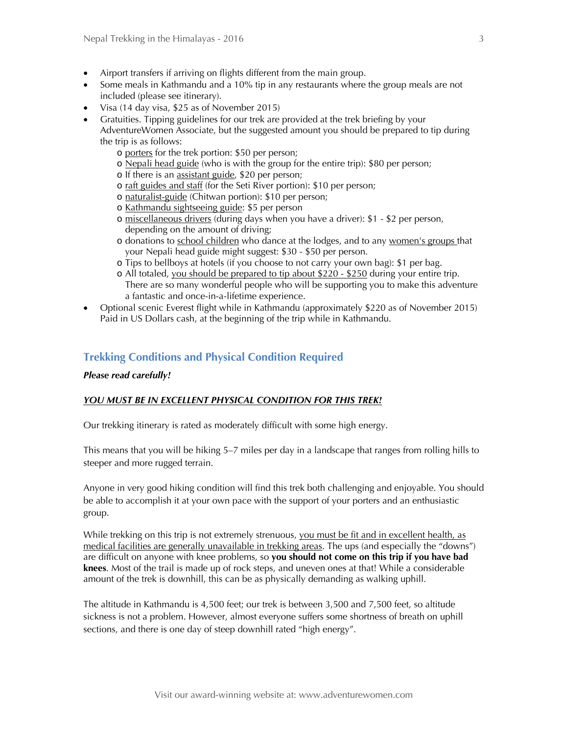- Airport transfers if arriving on flights different from the main group.
- Some meals in Kathmandu and a 10% tip in any restaurants where the group meals are not included (please see itinerary).
- Visa (14 day visa, \$25 as of November 2015)
- Gratuities. Tipping guidelines for our trek are provided at the trek briefing by your AdventureWomen Associate, but the suggested amount you should be prepared to tip during the trip is as follows:
	- o porters for the trek portion: \$50 per person;
	- o Nepali head guide (who is with the group for the entire trip): \$80 per person;
	- o If there is an assistant guide, \$20 per person;
	- o raft guides and staff (for the Seti River portion): \$10 per person;
	- o naturalist-guide (Chitwan portion): \$10 per person;
	- o Kathmandu sightseeing guide: \$5 per person
	- o miscellaneous drivers (during days when you have a driver): \$1 \$2 per person, depending on the amount of driving;
	- o donations to school children who dance at the lodges, and to any women's groups that your Nepali head guide might suggest: \$30 - \$50 per person.
	- o Tips to bellboys at hotels (if you choose to not carry your own bag): \$1 per bag.
	- $\circ$  All totaled, you should be prepared to tip about \$220 \$250 during your entire trip. There are so many wonderful people who will be supporting you to make this adventure a fantastic and once-in-a-lifetime experience.
- Optional scenic Everest flight while in Kathmandu (approximately \$220 as of November 2015) Paid in US Dollars cash, at the beginning of the trip while in Kathmandu.

# **Trekking Conditions and Physical Condition Required**

#### *Please read carefully!*

#### *YOU MUST BE IN EXCELLENT PHYSICAL CONDITION FOR THIS TREK!*

Our trekking itinerary is rated as moderately difficult with some high energy.

This means that you will be hiking 5–7 miles per day in a landscape that ranges from rolling hills to steeper and more rugged terrain.

Anyone in very good hiking condition will find this trek both challenging and enjoyable. You should be able to accomplish it at your own pace with the support of your porters and an enthusiastic group.

While trekking on this trip is not extremely strenuous, you must be fit and in excellent health, as medical facilities are generally unavailable in trekking areas. The ups (and especially the "downs") are difficult on anyone with knee problems, so **you should not come on this trip if you have bad knees**. Most of the trail is made up of rock steps, and uneven ones at that! While a considerable amount of the trek is downhill, this can be as physically demanding as walking uphill.

The altitude in Kathmandu is 4,500 feet; our trek is between 3,500 and 7,500 feet, so altitude sickness is not a problem. However, almost everyone suffers some shortness of breath on uphill sections, and there is one day of steep downhill rated "high energy".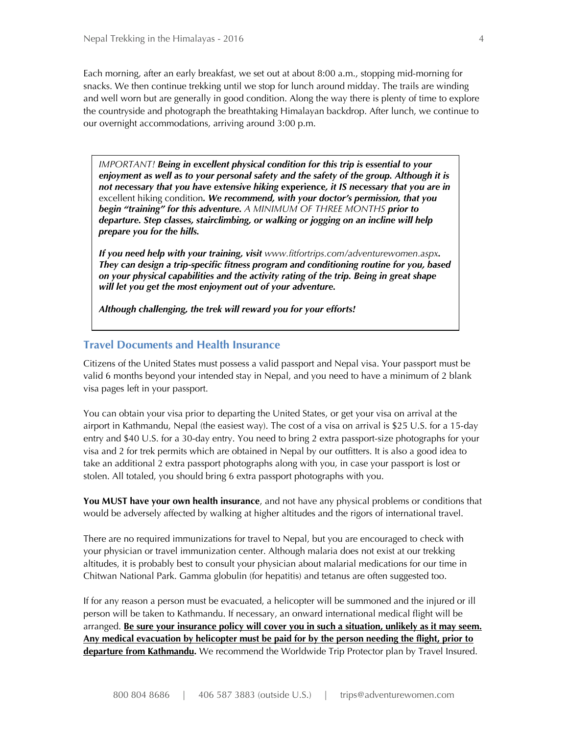Each morning, after an early breakfast, we set out at about 8:00 a.m., stopping mid-morning for snacks. We then continue trekking until we stop for lunch around midday. The trails are winding and well worn but are generally in good condition. Along the way there is plenty of time to explore the countryside and photograph the breathtaking Himalayan backdrop. After lunch, we continue to our overnight accommodations, arriving around 3:00 p.m.

*IMPORTANT! Being in excellent physical condition for this trip is essential to your enjoyment as well as to your personal safety and the safety of the group. Although it is not necessary that you have extensive hiking* **experience***, it IS necessary that you are in*  excellent hiking condition*. We recommend, with your doctor's permission, that you begin "training" for this adventure. A MINIMUM OF THREE MONTHS prior to departure. Step classes, stairclimbing, or walking or jogging on an incline will help prepare you for the hills.* 

*If you need help with your training, visit www.fitfortrips.com/adventurewomen.aspx. They can design a trip-specific fitness program and conditioning routine for you, based on your physical capabilities and the activity rating of the trip. Being in great shape will let you get the most enjoyment out of your adventure.* 

*Although challenging, the trek will reward you for your efforts!*

#### **Travel Documents and Health Insurance**

Citizens of the United States must possess a valid passport and Nepal visa. Your passport must be valid 6 months beyond your intended stay in Nepal, and you need to have a minimum of 2 blank visa pages left in your passport.

You can obtain your visa prior to departing the United States, or get your visa on arrival at the airport in Kathmandu, Nepal (the easiest way). The cost of a visa on arrival is \$25 U.S. for a 15-day entry and \$40 U.S. for a 30-day entry. You need to bring 2 extra passport-size photographs for your visa and 2 for trek permits which are obtained in Nepal by our outfitters. It is also a good idea to take an additional 2 extra passport photographs along with you, in case your passport is lost or stolen. All totaled, you should bring 6 extra passport photographs with you.

**You MUST have your own health insurance**, and not have any physical problems or conditions that would be adversely affected by walking at higher altitudes and the rigors of international travel.

There are no required immunizations for travel to Nepal, but you are encouraged to check with your physician or travel immunization center. Although malaria does not exist at our trekking altitudes, it is probably best to consult your physician about malarial medications for our time in Chitwan National Park. Gamma globulin (for hepatitis) and tetanus are often suggested too.

If for any reason a person must be evacuated, a helicopter will be summoned and the injured or ill person will be taken to Kathmandu. If necessary, an onward international medical flight will be arranged. **Be sure your insurance policy will cover you in such a situation, unlikely as it may seem. Any medical evacuation by helicopter must be paid for by the person needing the flight, prior to departure from Kathmandu.** We recommend the Worldwide Trip Protector plan by Travel Insured.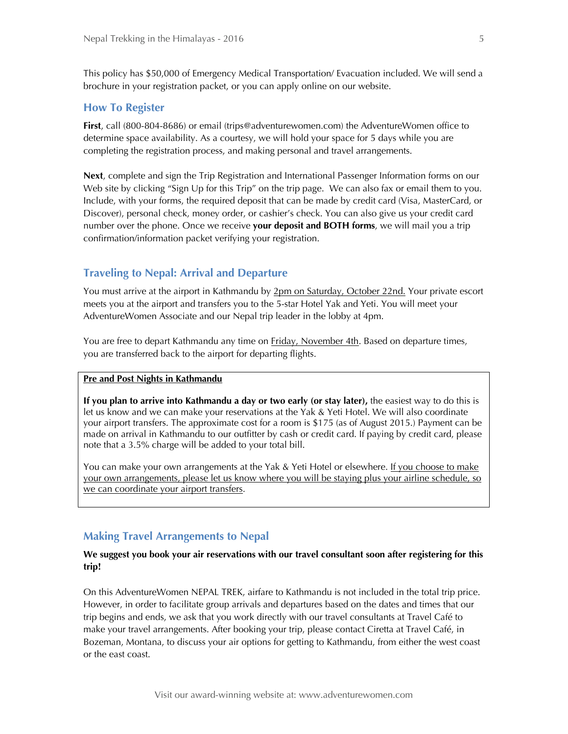This policy has \$50,000 of Emergency Medical Transportation/ Evacuation included. We will send a brochure in your registration packet, or you can apply online on our website.

### **How To Register**

**First**, call (800-804-8686) or email (trips@adventurewomen.com) the AdventureWomen office to determine space availability. As a courtesy, we will hold your space for 5 days while you are completing the registration process, and making personal and travel arrangements.

**Next**, complete and sign the Trip Registration and International Passenger Information forms on our Web site by clicking "Sign Up for this Trip" on the trip page. We can also fax or email them to you. Include, with your forms, the required deposit that can be made by credit card (Visa, MasterCard, or Discover), personal check, money order, or cashier's check. You can also give us your credit card number over the phone. Once we receive **your deposit and BOTH forms**, we will mail you a trip confirmation/information packet verifying your registration.

# **Traveling to Nepal: Arrival and Departure**

You must arrive at the airport in Kathmandu by 2pm on Saturday, October 22nd. Your private escort meets you at the airport and transfers you to the 5-star Hotel Yak and Yeti. You will meet your AdventureWomen Associate and our Nepal trip leader in the lobby at 4pm.

You are free to depart Kathmandu any time on **Friday, November 4th**. Based on departure times, you are transferred back to the airport for departing flights.

#### **Pre and Post Nights in Kathmandu**

**If you plan to arrive into Kathmandu a day or two early (or stay later),** the easiest way to do this is let us know and we can make your reservations at the Yak & Yeti Hotel. We will also coordinate your airport transfers. The approximate cost for a room is \$175 (as of August 2015.) Payment can be made on arrival in Kathmandu to our outfitter by cash or credit card. If paying by credit card, please note that a 3.5% charge will be added to your total bill.

You can make your own arrangements at the Yak & Yeti Hotel or elsewhere. If you choose to make your own arrangements, please let us know where you will be staying plus your airline schedule, so we can coordinate your airport transfers.

# **Making Travel Arrangements to Nepal**

### **We suggest you book your air reservations with our travel consultant soon after registering for this trip!**

On this AdventureWomen NEPAL TREK, airfare to Kathmandu is not included in the total trip price. However, in order to facilitate group arrivals and departures based on the dates and times that our trip begins and ends, we ask that you work directly with our travel consultants at Travel Café to make your travel arrangements. After booking your trip, please contact Ciretta at Travel Café, in Bozeman, Montana, to discuss your air options for getting to Kathmandu, from either the west coast or the east coast.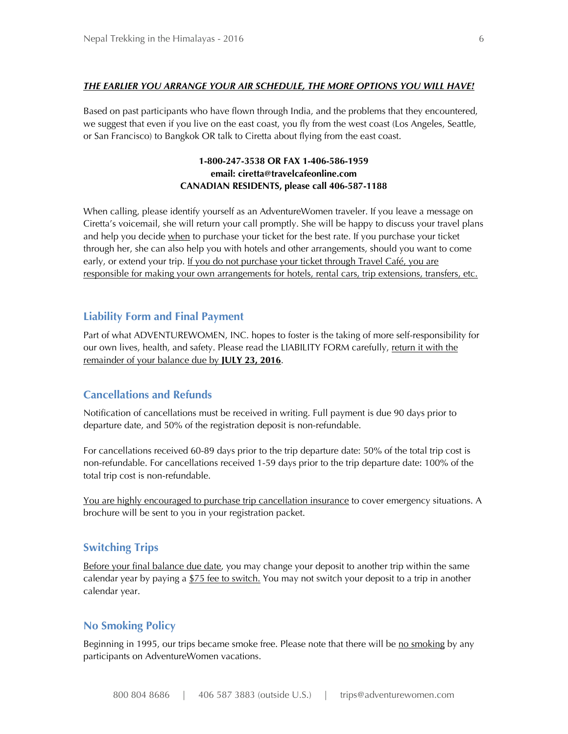# *THE EARLIER YOU ARRANGE YOUR AIR SCHEDULE, THE MORE OPTIONS YOU WILL HAVE!*

Based on past participants who have flown through India, and the problems that they encountered, we suggest that even if you live on the east coast, you fly from the west coast (Los Angeles, Seattle, or San Francisco) to Bangkok OR talk to Ciretta about flying from the east coast.

# **1-800-247-3538 OR FAX 1-406-586-1959 email: ciretta@travelcafeonline.com CANADIAN RESIDENTS, please call 406-587-1188**

When calling, please identify yourself as an AdventureWomen traveler. If you leave a message on Ciretta's voicemail, she will return your call promptly. She will be happy to discuss your travel plans and help you decide when to purchase your ticket for the best rate. If you purchase your ticket through her, she can also help you with hotels and other arrangements, should you want to come early, or extend your trip. If you do not purchase your ticket through Travel Café, you are responsible for making your own arrangements for hotels, rental cars, trip extensions, transfers, etc.

# **Liability Form and Final Payment**

Part of what ADVENTUREWOMEN, INC. hopes to foster is the taking of more self-responsibility for our own lives, health, and safety. Please read the LIABILITY FORM carefully, return it with the remainder of your balance due by **JULY 23, 2016**.

# **Cancellations and Refunds**

Notification of cancellations must be received in writing. Full payment is due 90 days prior to departure date, and 50% of the registration deposit is non-refundable.

For cancellations received 60-89 days prior to the trip departure date: 50% of the total trip cost is non-refundable. For cancellations received 1-59 days prior to the trip departure date: 100% of the total trip cost is non-refundable.

You are highly encouraged to purchase trip cancellation insurance to cover emergency situations. A brochure will be sent to you in your registration packet.

#### **Switching Trips**

Before your final balance due date, you may change your deposit to another trip within the same calendar year by paying a  $$75$  fee to switch. You may not switch your deposit to a trip in another calendar year.

# **No Smoking Policy**

Beginning in 1995, our trips became smoke free. Please note that there will be no smoking by any participants on AdventureWomen vacations.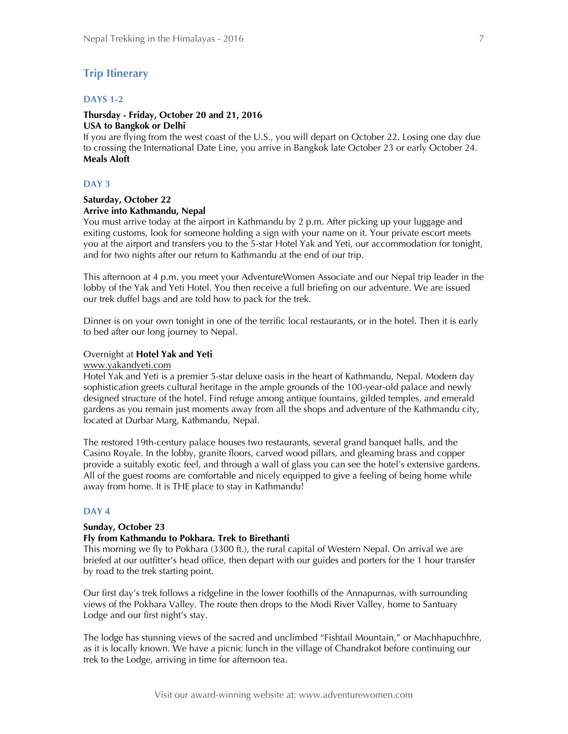# **Trip Itinerary**

# **DAYS 1-2**

#### **Thursday - Friday, October 20 and 21, 2016 USA to Bangkok or Delhi**

If you are flying from the west coast of the U.S., you will depart on October 22. Losing one day due to crossing the International Date Line, you arrive in Bangkok late October 23 or early October 24. **Meals Aloft**

#### **DAY 3**

#### **Saturday, October 22 Arrive into Kathmandu, Nepal**

You must arrive today at the airport in Kathmandu by 2 p.m. After picking up your luggage and exiting customs, look for someone holding a sign with your name on it. Your private escort meets you at the airport and transfers you to the 5-star Hotel Yak and Yeti, our accommodation for tonight, and for two nights after our return to Kathmandu at the end of our trip.

This afternoon at 4 p.m. you meet your AdventureWomen Associate and our Nepal trip leader in the lobby of the Yak and Yeti Hotel. You then receive a full briefing on our adventure. We are issued our trek duffel bags and are told how to pack for the trek.

Dinner is on your own tonight in one of the terrific local restaurants, or in the hotel. Then it is early to bed after our long journey to Nepal.

#### Overnight at **Hotel Yak and Yeti**

www.yakandyeti.com

Hotel Yak and Yeti is a premier 5-star deluxe oasis in the heart of Kathmandu, Nepal. Modern day sophistication greets cultural heritage in the ample grounds of the 100-year-old palace and newly designed structure of the hotel. Find refuge among antique fountains, gilded temples, and emerald gardens as you remain just moments away from all the shops and adventure of the Kathmandu city, located at Durbar Marg, Kathmandu, Nepal.

The restored 19th-century palace houses two restaurants, several grand banquet halls, and the Casino Royale. In the lobby, granite floors, carved wood pillars, and gleaming brass and copper provide a suitably exotic feel, and through a wall of glass you can see the hotel's extensive gardens. All of the guest rooms are comfortable and nicely equipped to give a feeling of being home while away from home. It is THE place to stay in Kathmandu!

#### **DAY 4**

#### **Sunday, October 23**

# **Fly from Kathmandu to Pokhara. Trek to Birethanti**

This morning we fly to Pokhara (3300 ft.), the rural capital of Western Nepal. On arrival we are briefed at our outfitter's head office, then depart with our guides and porters for the 1 hour transfer by road to the trek starting point.

Our first day's trek follows a ridgeline in the lower foothills of the Annapurnas, with surrounding views of the Pokhara Valley. The route then drops to the Modi River Valley, home to Santuary Lodge and our first night's stay.

The lodge has stunning views of the sacred and unclimbed "Fishtail Mountain," or Machhapuchhre, as it is locally known. We have a picnic lunch in the village of Chandrakot before continuing our trek to the Lodge, arriving in time for afternoon tea.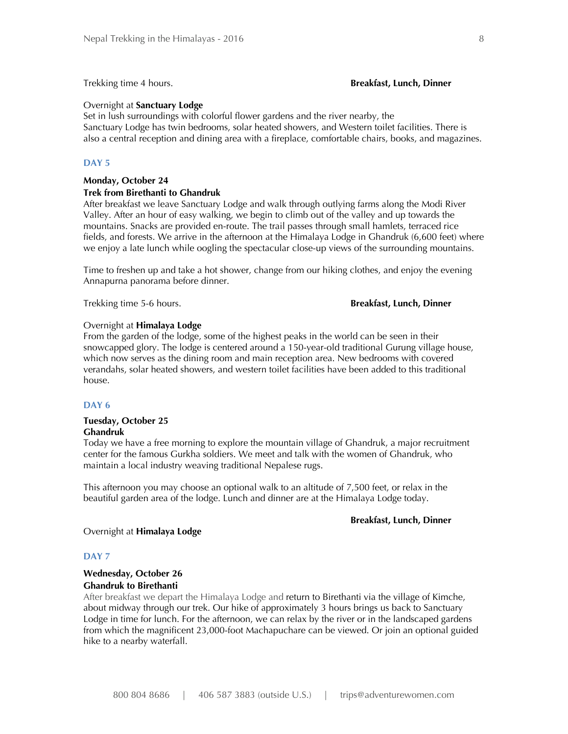#### Trekking time 4 hours. **Breakfast, Lunch, Dinner**

#### Overnight at **Sanctuary Lodge**

Set in lush surroundings with colorful flower gardens and the river nearby, the Sanctuary Lodge has twin bedrooms, solar heated showers, and Western toilet facilities. There is also a central reception and dining area with a fireplace, comfortable chairs, books, and magazines.

#### **DAY 5**

#### **Monday, October 24**

#### **Trek from Birethanti to Ghandruk**

After breakfast we leave Sanctuary Lodge and walk through outlying farms along the Modi River Valley. After an hour of easy walking, we begin to climb out of the valley and up towards the mountains. Snacks are provided en-route. The trail passes through small hamlets, terraced rice fields, and forests. We arrive in the afternoon at the Himalaya Lodge in Ghandruk (6,600 feet) where we enjoy a late lunch while oogling the spectacular close-up views of the surrounding mountains.

Time to freshen up and take a hot shower, change from our hiking clothes, and enjoy the evening Annapurna panorama before dinner.

Trekking time 5-6 hours. **Breakfast, Lunch, Dinner**

#### Overnight at **Himalaya Lodge**

From the garden of the lodge, some of the highest peaks in the world can be seen in their snowcapped glory. The lodge is centered around a 150-year-old traditional Gurung village house, which now serves as the dining room and main reception area. New bedrooms with covered verandahs, solar heated showers, and western toilet facilities have been added to this traditional house.

#### **DAY 6**

#### **Tuesday, October 25 Ghandruk**

Today we have a free morning to explore the mountain village of Ghandruk, a major recruitment center for the famous Gurkha soldiers. We meet and talk with the women of Ghandruk, who maintain a local industry weaving traditional Nepalese rugs.

This afternoon you may choose an optional walk to an altitude of 7,500 feet, or relax in the beautiful garden area of the lodge. Lunch and dinner are at the Himalaya Lodge today.

#### **Breakfast, Lunch, Dinner**

#### Overnight at **Himalaya Lodge**

#### **DAY 7**

#### **Wednesday, October 26 Ghandruk to Birethanti**

After breakfast we depart the Himalaya Lodge and return to Birethanti via the village of Kimche, about midway through our trek. Our hike of approximately 3 hours brings us back to Sanctuary Lodge in time for lunch. For the afternoon, we can relax by the river or in the landscaped gardens from which the magnificent 23,000-foot Machapuchare can be viewed. Or join an optional guided hike to a nearby waterfall.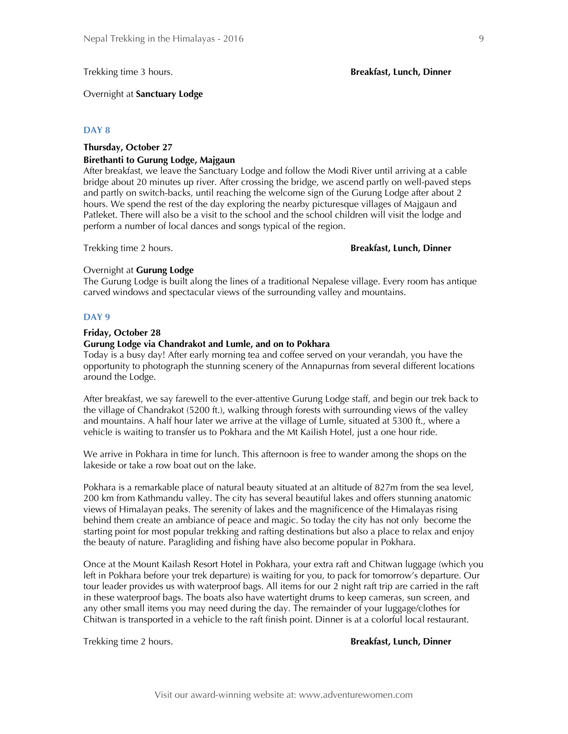Trekking time 3 hours. **Breakfast, Lunch, Dinner**

Overnight at **Sanctuary Lodge**

#### **DAY 8**

#### **Thursday, October 27 Birethanti to Gurung Lodge, Majgaun**

After breakfast, we leave the Sanctuary Lodge and follow the Modi River until arriving at a cable bridge about 20 minutes up river. After crossing the bridge, we ascend partly on well-paved steps and partly on switch-backs, until reaching the welcome sign of the Gurung Lodge after about 2 hours. We spend the rest of the day exploring the nearby picturesque villages of Majgaun and Patleket. There will also be a visit to the school and the school children will visit the lodge and perform a number of local dances and songs typical of the region.

#### Trekking time 2 hours. **Breakfast, Lunch, Dinner**

#### Overnight at **Gurung Lodge**

The Gurung Lodge is built along the lines of a traditional Nepalese village. Every room has antique carved windows and spectacular views of the surrounding valley and mountains.

#### **DAY 9**

#### **Friday, October 28**

#### **Gurung Lodge via Chandrakot and Lumle, and on to Pokhara**

Today is a busy day! After early morning tea and coffee served on your verandah, you have the opportunity to photograph the stunning scenery of the Annapurnas from several different locations around the Lodge.

After breakfast, we say farewell to the ever-attentive Gurung Lodge staff, and begin our trek back to the village of Chandrakot (5200 ft.), walking through forests with surrounding views of the valley and mountains. A half hour later we arrive at the village of Lumle, situated at 5300 ft., where a vehicle is waiting to transfer us to Pokhara and the Mt Kailish Hotel, just a one hour ride.

We arrive in Pokhara in time for lunch. This afternoon is free to wander among the shops on the lakeside or take a row boat out on the lake.

Pokhara is a remarkable place of natural beauty situated at an altitude of 827m from the sea level, 200 km from Kathmandu valley. The city has several beautiful lakes and offers stunning anatomic views of Himalayan peaks. The serenity of lakes and the magnificence of the Himalayas rising behind them create an ambiance of peace and magic. So today the city has not only become the starting point for most popular trekking and rafting destinations but also a place to relax and enjoy the beauty of nature. Paragliding and fishing have also become popular in Pokhara.

Once at the Mount Kailash Resort Hotel in Pokhara, your extra raft and Chitwan luggage (which you left in Pokhara before your trek departure) is waiting for you, to pack for tomorrow's departure. Our tour leader provides us with waterproof bags. All items for our 2 night raft trip are carried in the raft in these waterproof bags. The boats also have watertight drums to keep cameras, sun screen, and any other small items you may need during the day. The remainder of your luggage/clothes for Chitwan is transported in a vehicle to the raft finish point. Dinner is at a colorful local restaurant.

#### Trekking time 2 hours. **Breakfast, Lunch, Dinner**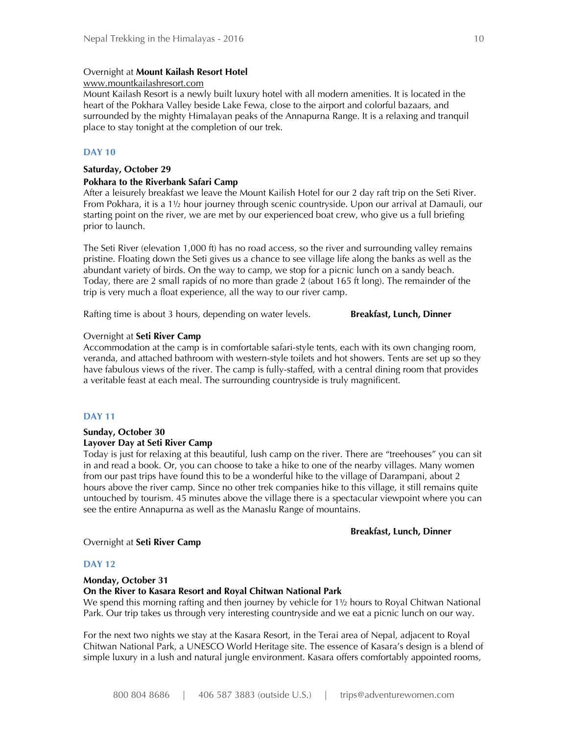#### Overnight at **Mount Kailash Resort Hotel**

#### www.mountkailashresort.com

Mount Kailash Resort is a newly built luxury hotel with all modern amenities. It is located in the heart of the Pokhara Valley beside Lake Fewa, close to the airport and colorful bazaars, and surrounded by the mighty Himalayan peaks of the Annapurna Range. It is a relaxing and tranquil place to stay tonight at the completion of our trek.

### **DAY 10**

#### **Saturday, October 29**

#### **Pokhara to the Riverbank Safari Camp**

After a leisurely breakfast we leave the Mount Kailish Hotel for our 2 day raft trip on the Seti River. From Pokhara, it is a 1½ hour journey through scenic countryside. Upon our arrival at Damauli, our starting point on the river, we are met by our experienced boat crew, who give us a full briefing prior to launch.

The Seti River (elevation 1,000 ft) has no road access, so the river and surrounding valley remains pristine. Floating down the Seti gives us a chance to see village life along the banks as well as the abundant variety of birds. On the way to camp, we stop for a picnic lunch on a sandy beach. Today, there are 2 small rapids of no more than grade 2 (about 165 ft long). The remainder of the trip is very much a float experience, all the way to our river camp.

Rafting time is about 3 hours, depending on water levels. **Breakfast, Lunch, Dinner**

#### Overnight at **Seti River Camp**

Accommodation at the camp is in comfortable safari-style tents, each with its own changing room, veranda, and attached bathroom with western-style toilets and hot showers. Tents are set up so they have fabulous views of the river. The camp is fully-staffed, with a central dining room that provides a veritable feast at each meal. The surrounding countryside is truly magnificent.

#### **DAY 11**

# **Sunday, October 30 Layover Day at Seti River Camp**

Today is just for relaxing at this beautiful, lush camp on the river. There are "treehouses" you can sit in and read a book. Or, you can choose to take a hike to one of the nearby villages. Many women from our past trips have found this to be a wonderful hike to the village of Darampani, about 2 hours above the river camp. Since no other trek companies hike to this village, it still remains quite untouched by tourism. 45 minutes above the village there is a spectacular viewpoint where you can see the entire Annapurna as well as the Manaslu Range of mountains.

#### **Breakfast, Lunch, Dinner**

#### Overnight at **Seti River Camp**

#### **DAY 12**

#### **Monday, October 31**

#### **On the River to Kasara Resort and Royal Chitwan National Park**

We spend this morning rafting and then journey by vehicle for 1<sup>1</sup>/<sub>2</sub> hours to Royal Chitwan National Park. Our trip takes us through very interesting countryside and we eat a picnic lunch on our way.

For the next two nights we stay at the Kasara Resort, in the Terai area of Nepal, adjacent to Royal Chitwan National Park, a UNESCO World Heritage site. The essence of Kasara's design is a blend of simple luxury in a lush and natural jungle environment. Kasara offers comfortably appointed rooms,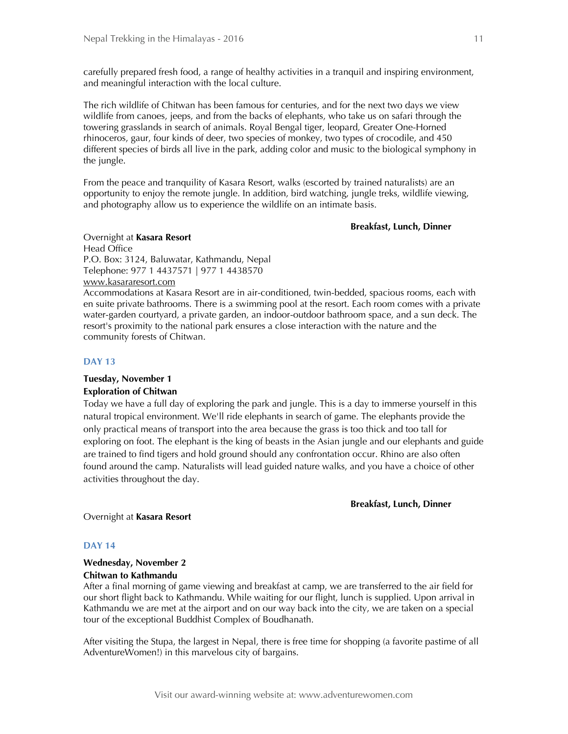carefully prepared fresh food, a range of healthy activities in a tranquil and inspiring environment, and meaningful interaction with the local culture.

The rich wildlife of Chitwan has been famous for centuries, and for the next two days we view wildlife from canoes, jeeps, and from the backs of elephants, who take us on safari through the towering grasslands in search of animals. Royal Bengal tiger, leopard, Greater One-Horned rhinoceros, gaur, four kinds of deer, two species of monkey, two types of crocodile, and 450 different species of birds all live in the park, adding color and music to the biological symphony in the jungle.

From the peace and tranquility of Kasara Resort, walks (escorted by trained naturalists) are an opportunity to enjoy the remote jungle. In addition, bird watching, jungle treks, wildlife viewing, and photography allow us to experience the wildlife on an intimate basis.

#### **Breakfast, Lunch, Dinner**

Overnight at **Kasara Resort** Head Office P.O. Box: 3124, Baluwatar, Kathmandu, Nepal Telephone: 977 1 4437571 | 977 1 4438570 www.kasararesort.com

Accommodations at Kasara Resort are in air-conditioned, twin-bedded, spacious rooms, each with en suite private bathrooms. There is a swimming pool at the resort. Each room comes with a private water-garden courtyard, a private garden, an indoor-outdoor bathroom space, and a sun deck. The resort's proximity to the national park ensures a close interaction with the nature and the community forests of Chitwan.

#### **DAY 13**

# **Tuesday, November 1 Exploration of Chitwan**

Today we have a full day of exploring the park and jungle. This is a day to immerse yourself in this natural tropical environment. We'll ride elephants in search of game. The elephants provide the only practical means of transport into the area because the grass is too thick and too tall for exploring on foot. The elephant is the king of beasts in the Asian jungle and our elephants and guide are trained to find tigers and hold ground should any confrontation occur. Rhino are also often found around the camp. Naturalists will lead guided nature walks, and you have a choice of other activities throughout the day.

#### **Breakfast, Lunch, Dinner**

Overnight at **Kasara Resort**

#### **DAY 14**

#### **Wednesday, November 2 Chitwan to Kathmandu**

After a final morning of game viewing and breakfast at camp, we are transferred to the air field for our short flight back to Kathmandu. While waiting for our flight, lunch is supplied. Upon arrival in Kathmandu we are met at the airport and on our way back into the city, we are taken on a special tour of the exceptional Buddhist Complex of Boudhanath.

After visiting the Stupa, the largest in Nepal, there is free time for shopping (a favorite pastime of all AdventureWomen!) in this marvelous city of bargains.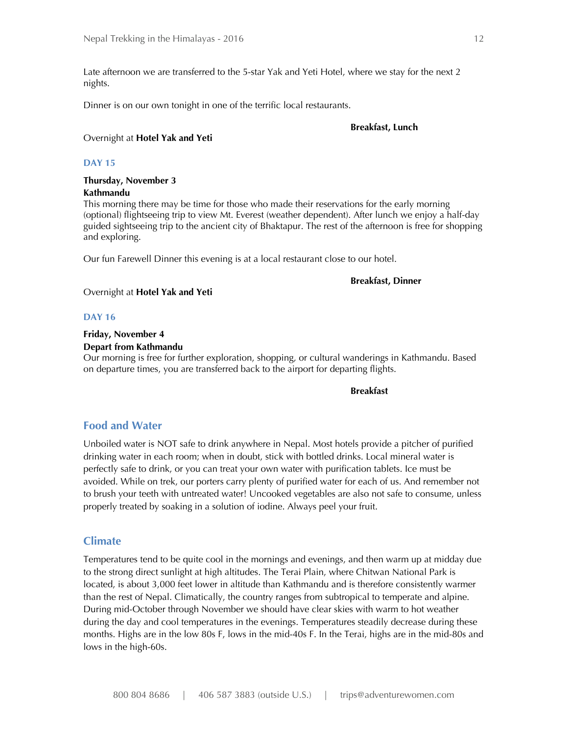Late afternoon we are transferred to the 5-star Yak and Yeti Hotel, where we stay for the next 2 nights.

Dinner is on our own tonight in one of the terrific local restaurants.

#### **Breakfast, Lunch**

### Overnight at **Hotel Yak and Yeti**

# **DAY 15**

# **Thursday, November 3 Kathmandu**

This morning there may be time for those who made their reservations for the early morning (optional) flightseeing trip to view Mt. Everest (weather dependent). After lunch we enjoy a half-day guided sightseeing trip to the ancient city of Bhaktapur. The rest of the afternoon is free for shopping and exploring.

Our fun Farewell Dinner this evening is at a local restaurant close to our hotel.

#### **Breakfast, Dinner**

#### Overnight at **Hotel Yak and Yeti**

#### **DAY 16**

# **Friday, November 4**

**Depart from Kathmandu**

Our morning is free for further exploration, shopping, or cultural wanderings in Kathmandu. Based on departure times, you are transferred back to the airport for departing flights.

#### **Breakfast Breakfast**

# **Food and Water**

Unboiled water is NOT safe to drink anywhere in Nepal. Most hotels provide a pitcher of purified drinking water in each room; when in doubt, stick with bottled drinks. Local mineral water is perfectly safe to drink, or you can treat your own water with purification tablets. Ice must be avoided. While on trek, our porters carry plenty of purified water for each of us. And remember not to brush your teeth with untreated water! Uncooked vegetables are also not safe to consume, unless properly treated by soaking in a solution of iodine. Always peel your fruit.

# **Climate**

Temperatures tend to be quite cool in the mornings and evenings, and then warm up at midday due to the strong direct sunlight at high altitudes. The Terai Plain, where Chitwan National Park is located, is about 3,000 feet lower in altitude than Kathmandu and is therefore consistently warmer than the rest of Nepal. Climatically, the country ranges from subtropical to temperate and alpine. During mid-October through November we should have clear skies with warm to hot weather during the day and cool temperatures in the evenings. Temperatures steadily decrease during these months. Highs are in the low 80s F, lows in the mid-40s F. In the Terai, highs are in the mid-80s and lows in the high-60s.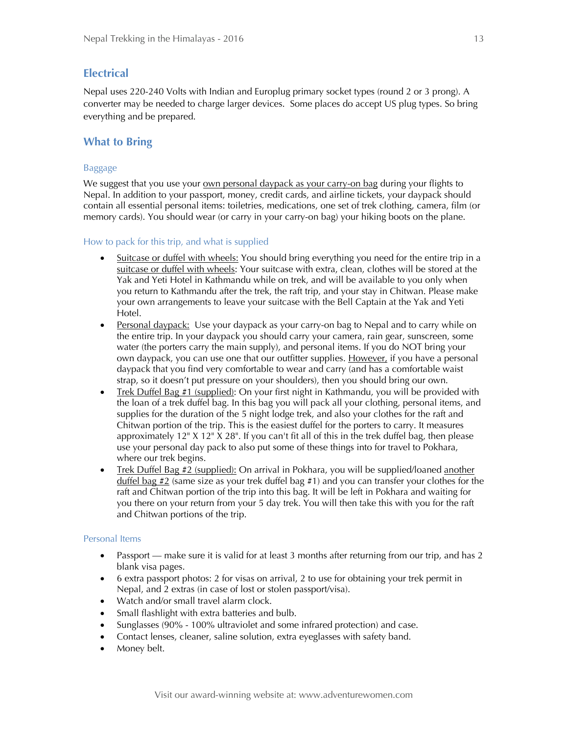# **Electrical**

Nepal uses 220-240 Volts with Indian and Europlug primary socket types (round 2 or 3 prong). A converter may be needed to charge larger devices. Some places do accept US plug types. So bring everything and be prepared.

# **What to Bring**

# Baggage

We suggest that you use your own personal daypack as your carry-on bag during your flights to Nepal. In addition to your passport, money, credit cards, and airline tickets, your daypack should contain all essential personal items: toiletries, medications, one set of trek clothing, camera, film (or memory cards). You should wear (or carry in your carry-on bag) your hiking boots on the plane.

# How to pack for this trip, and what is supplied

- Suitcase or duffel with wheels: You should bring everything you need for the entire trip in a suitcase or duffel with wheels: Your suitcase with extra, clean, clothes will be stored at the Yak and Yeti Hotel in Kathmandu while on trek, and will be available to you only when you return to Kathmandu after the trek, the raft trip, and your stay in Chitwan. Please make your own arrangements to leave your suitcase with the Bell Captain at the Yak and Yeti Hotel.
- **Personal daypack:** Use your daypack as your carry-on bag to Nepal and to carry while on the entire trip. In your daypack you should carry your camera, rain gear, sunscreen, some water (the porters carry the main supply), and personal items. If you do NOT bring your own daypack, you can use one that our outfitter supplies. However, if you have a personal daypack that you find very comfortable to wear and carry (and has a comfortable waist strap, so it doesn't put pressure on your shoulders), then you should bring our own.
- Trek Duffel Bag #1 (supplied): On your first night in Kathmandu, you will be provided with the loan of a trek duffel bag. In this bag you will pack all your clothing, personal items, and supplies for the duration of the 5 night lodge trek, and also your clothes for the raft and Chitwan portion of the trip. This is the easiest duffel for the porters to carry. It measures approximately 12" X 12" X 28". If you can't fit all of this in the trek duffel bag, then please use your personal day pack to also put some of these things into for travel to Pokhara, where our trek begins.
- Trek Duffel Bag #2 (supplied): On arrival in Pokhara, you will be supplied/loaned another duffel bag  $\#2$  (same size as your trek duffel bag  $\#1$ ) and you can transfer your clothes for the raft and Chitwan portion of the trip into this bag. It will be left in Pokhara and waiting for you there on your return from your 5 day trek. You will then take this with you for the raft and Chitwan portions of the trip.

# Personal Items

- Passport make sure it is valid for at least 3 months after returning from our trip, and has 2 blank visa pages.
- 6 extra passport photos: 2 for visas on arrival, 2 to use for obtaining your trek permit in Nepal, and 2 extras (in case of lost or stolen passport/visa).
- Watch and/or small travel alarm clock.
- Small flashlight with extra batteries and bulb.
- Sunglasses (90% 100% ultraviolet and some infrared protection) and case.
- Contact lenses, cleaner, saline solution, extra eyeglasses with safety band.
- Money belt.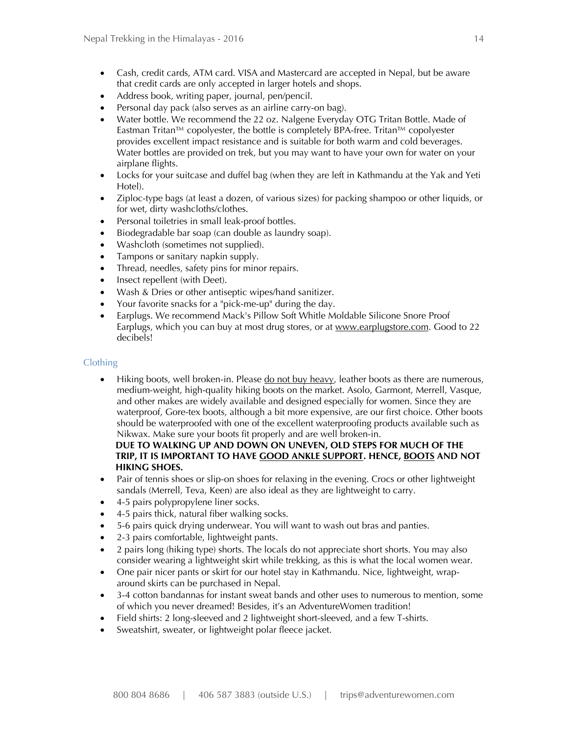- Cash, credit cards, ATM card. VISA and Mastercard are accepted in Nepal, but be aware that credit cards are only accepted in larger hotels and shops.
- Address book, writing paper, journal, pen/pencil.
- Personal day pack (also serves as an airline carry-on bag).
- Water bottle. We recommend the 22 oz. Nalgene Everyday OTG Tritan Bottle. Made of Eastman Tritan™ copolyester, the bottle is completely BPA-free. Tritan™ copolyester provides excellent impact resistance and is suitable for both warm and cold beverages. Water bottles are provided on trek, but you may want to have your own for water on your airplane flights.
- Locks for your suitcase and duffel bag (when they are left in Kathmandu at the Yak and Yeti Hotel).
- Ziploc-type bags (at least a dozen, of various sizes) for packing shampoo or other liquids, or for wet, dirty washcloths/clothes.
- Personal toiletries in small leak-proof bottles.
- Biodegradable bar soap (can double as laundry soap).
- Washcloth (sometimes not supplied).
- Tampons or sanitary napkin supply.
- Thread, needles, safety pins for minor repairs.
- Insect repellent (with Deet).
- Wash & Dries or other antiseptic wipes/hand sanitizer.
- Your favorite snacks for a "pick-me-up" during the day.
- Earplugs. We recommend Mack's Pillow Soft Whitle Moldable Silicone Snore Proof Earplugs, which you can buy at most drug stores, or at www.earplugstore.com. Good to 22 decibels!

### Clothing

 Hiking boots, well broken-in. Please do not buy heavy, leather boots as there are numerous, medium-weight, high-quality hiking boots on the market. Asolo, Garmont, Merrell, Vasque, and other makes are widely available and designed especially for women. Since they are waterproof, Gore-tex boots, although a bit more expensive, are our first choice. Other boots should be waterproofed with one of the excellent waterproofing products available such as Nikwax. Make sure your boots fit properly and are well broken-in.

 **DUE TO WALKING UP AND DOWN ON UNEVEN, OLD STEPS FOR MUCH OF THE TRIP, IT IS IMPORTANT TO HAVE GOOD ANKLE SUPPORT. HENCE, BOOTS AND NOT HIKING SHOES.** 

- Pair of tennis shoes or slip-on shoes for relaxing in the evening. Crocs or other lightweight sandals (Merrell, Teva, Keen) are also ideal as they are lightweight to carry.
- 4-5 pairs polypropylene liner socks.
- 4-5 pairs thick, natural fiber walking socks.
- 5-6 pairs quick drying underwear. You will want to wash out bras and panties.
- 2-3 pairs comfortable, lightweight pants.
- 2 pairs long (hiking type) shorts. The locals do not appreciate short shorts. You may also consider wearing a lightweight skirt while trekking, as this is what the local women wear.
- One pair nicer pants or skirt for our hotel stay in Kathmandu. Nice, lightweight, wraparound skirts can be purchased in Nepal.
- 3-4 cotton bandannas for instant sweat bands and other uses to numerous to mention, some of which you never dreamed! Besides, it's an AdventureWomen tradition!
- Field shirts: 2 long-sleeved and 2 lightweight short-sleeved, and a few T-shirts.
- Sweatshirt, sweater, or lightweight polar fleece jacket.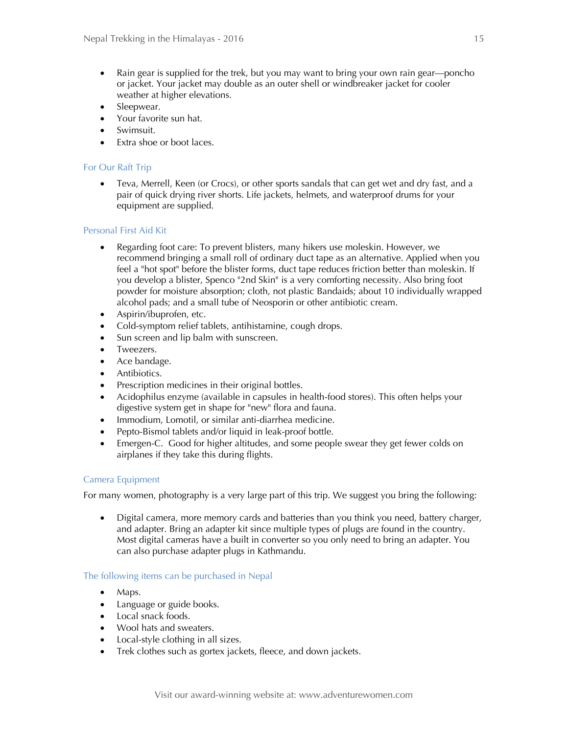- Rain gear is supplied for the trek, but you may want to bring your own rain gear—poncho or jacket. Your jacket may double as an outer shell or windbreaker jacket for cooler weather at higher elevations.
- Sleepwear.
- Your favorite sun hat.
- Swimsuit.
- Extra shoe or boot laces.

# For Our Raft Trip

 Teva, Merrell, Keen (or Crocs), or other sports sandals that can get wet and dry fast, and a pair of quick drying river shorts. Life jackets, helmets, and waterproof drums for your equipment are supplied.

# Personal First Aid Kit

- Regarding foot care: To prevent blisters, many hikers use moleskin. However, we recommend bringing a small roll of ordinary duct tape as an alternative. Applied when you feel a "hot spot" before the blister forms, duct tape reduces friction better than moleskin. If you develop a blister, Spenco "2nd Skin" is a very comforting necessity. Also bring foot powder for moisture absorption; cloth, not plastic Bandaids; about 10 individually wrapped alcohol pads; and a small tube of Neosporin or other antibiotic cream.
- Aspirin/ibuprofen, etc.
- Cold-symptom relief tablets, antihistamine, cough drops.
- Sun screen and lip balm with sunscreen.
- Tweezers.
- Ace bandage.
- Antibiotics.
- Prescription medicines in their original bottles.
- Acidophilus enzyme (available in capsules in health-food stores). This often helps your digestive system get in shape for "new" flora and fauna.
- Immodium, Lomotil, or similar anti-diarrhea medicine.
- Pepto-Bismol tablets and/or liquid in leak-proof bottle.
- Emergen-C. Good for higher altitudes, and some people swear they get fewer colds on airplanes if they take this during flights.

#### Camera Equipment

For many women, photography is a very large part of this trip. We suggest you bring the following:

 Digital camera, more memory cards and batteries than you think you need, battery charger, and adapter. Bring an adapter kit since multiple types of plugs are found in the country. Most digital cameras have a built in converter so you only need to bring an adapter. You can also purchase adapter plugs in Kathmandu.

#### The following items can be purchased in Nepal

- Maps.
- Language or guide books.
- Local snack foods.
- Wool hats and sweaters.
- Local-style clothing in all sizes.
- Trek clothes such as gortex jackets, fleece, and down jackets.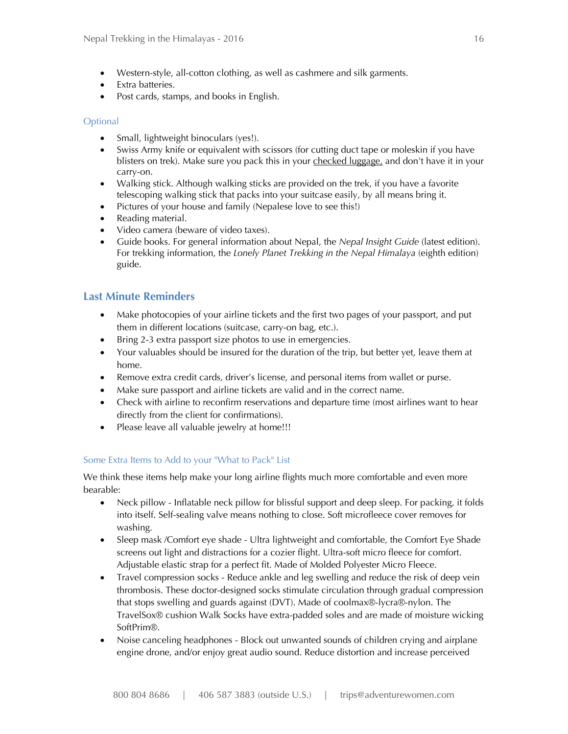- Western-style, all-cotton clothing, as well as cashmere and silk garments.
- Extra batteries.
- Post cards, stamps, and books in English.

# **Optional**

- Small, lightweight binoculars (yes!).
- Swiss Army knife or equivalent with scissors (for cutting duct tape or moleskin if you have blisters on trek). Make sure you pack this in your checked luggage, and don't have it in your carry-on.
- Walking stick. Although walking sticks are provided on the trek, if you have a favorite telescoping walking stick that packs into your suitcase easily, by all means bring it.
- Pictures of your house and family (Nepalese love to see this!)
- Reading material.
- Video camera (beware of video taxes).
- Guide books. For general information about Nepal, the *Nepal Insight Guide* (latest edition). For trekking information, the *Lonely Planet Trekking in the Nepal Himalaya* (eighth edition) guide.

# **Last Minute Reminders**

- Make photocopies of your airline tickets and the first two pages of your passport, and put them in different locations (suitcase, carry-on bag, etc.).
- Bring 2-3 extra passport size photos to use in emergencies.
- Your valuables should be insured for the duration of the trip, but better yet, leave them at home.
- Remove extra credit cards, driver's license, and personal items from wallet or purse.
- Make sure passport and airline tickets are valid and in the correct name.
- Check with airline to reconfirm reservations and departure time (most airlines want to hear directly from the client for confirmations).
- Please leave all valuable jewelry at home!!!

# Some Extra Items to Add to your "What to Pack" List

We think these items help make your long airline flights much more comfortable and even more bearable:

- Neck pillow Inflatable neck pillow for blissful support and deep sleep. For packing, it folds into itself. Self-sealing valve means nothing to close. Soft microfleece cover removes for washing.
- Sleep mask /Comfort eye shade Ultra lightweight and comfortable, the Comfort Eye Shade screens out light and distractions for a cozier flight. Ultra-soft micro fleece for comfort. Adjustable elastic strap for a perfect fit. Made of Molded Polyester Micro Fleece.
- Travel compression socks Reduce ankle and leg swelling and reduce the risk of deep vein thrombosis. These doctor-designed socks stimulate circulation through gradual compression that stops swelling and guards against (DVT). Made of coolmax®-lycra®-nylon. The TravelSox® cushion Walk Socks have extra-padded soles and are made of moisture wicking SoftPrim®.
- Noise canceling headphones Block out unwanted sounds of children crying and airplane engine drone, and/or enjoy great audio sound. Reduce distortion and increase perceived